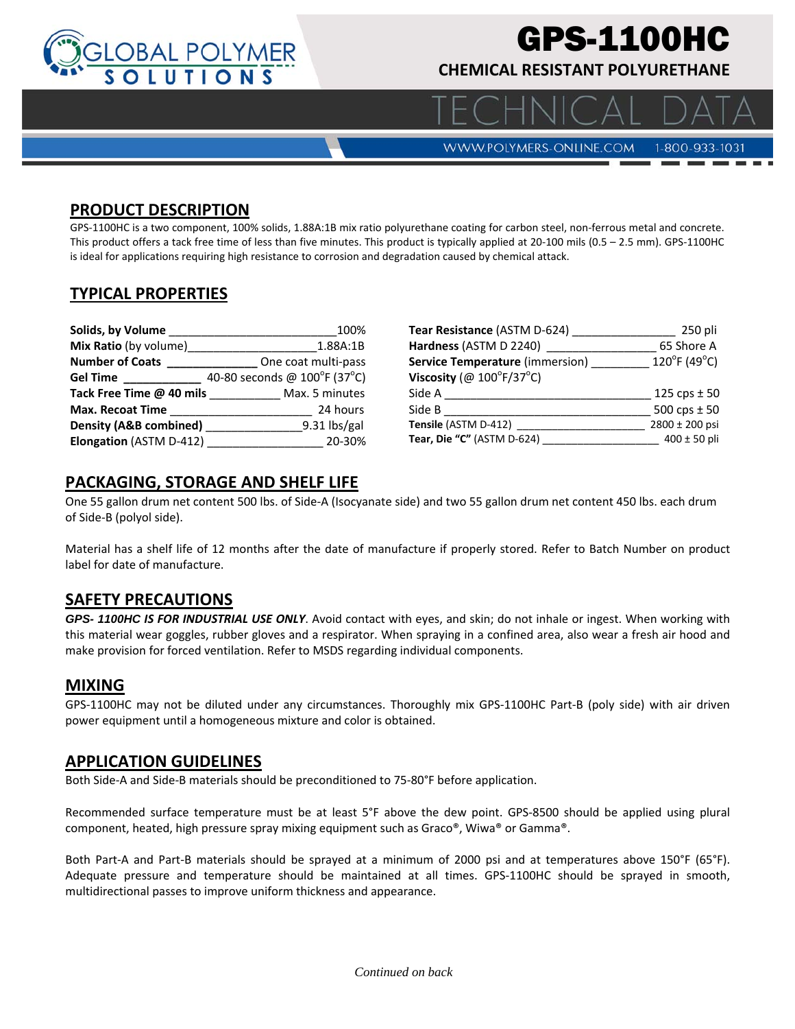

# GPS-1100HC

**CHEMICAL RESISTANT POLYURETHANE** 

**WWW.POLYMERS-ONLINE.COM** 

#### 1-800-933-1031

 $\bigcap$ 

# **PRODUCT DESCRIPTION**

GPS-1100HC is a two component, 100% solids, 1.88A:1B mix ratio polyurethane coating for carbon steel, non-ferrous metal and concrete. This product offers a tack free time of less than five minutes. This product is typically applied at 20-100 mils (0.5 – 2.5 mm). GPS-1100HC is ideal for applications requiring high resistance to corrosion and degradation caused by chemical attack.

# **TYPICAL PROPERTIES**

| Solids, by Volume                 | 100%                         |
|-----------------------------------|------------------------------|
| <b>Mix Ratio</b> (by volume)      | 1.88A:1B                     |
|                                   | One coat multi-pass          |
| Gel Time                          | 40-80 seconds @ 100°F (37°C) |
| Tack Free Time @ 40 mils          | Max. 5 minutes               |
| Max. Recoat Time                  | 24 hours                     |
| <b>Density (A&amp;B combined)</b> | $9.31$ lbs/gal               |
| <b>Elongation (ASTM D-412)</b>    | 20-30%                       |

| Tear Resistance (ASTM D-624)                  | 250 pli                           |
|-----------------------------------------------|-----------------------------------|
| Hardness (ASTM D 2240)                        | 65 Shore A                        |
| <b>Service Temperature</b> (immersion)        | $120^{\circ}$ F (49 $^{\circ}$ C) |
| Viscosity (@ $100^{\circ}$ F/37 $^{\circ}$ C) |                                   |
| Side A                                        | 125 cps $\pm$ 50                  |
| Side B                                        | 500 cps $\pm$ 50                  |
| Tensile (ASTM D-412)                          | 2800 ± 200 psi                    |
| Tear, Die "C" (ASTM D-624)                    | $400 \pm 50$ pli                  |

# **PACKAGING, STORAGE AND SHELF LIFE**

One 55 gallon drum net content 500 lbs. of Side‐A (Isocyanate side) and two 55 gallon drum net content 450 lbs. each drum of Side‐B (polyol side).

Material has a shelf life of 12 months after the date of manufacture if properly stored. Refer to Batch Number on product label for date of manufacture.

#### **SAFETY PRECAUTIONS**

*GPS- 1100HC IS FOR INDUSTRIAL USE ONLY*. Avoid contact with eyes, and skin; do not inhale or ingest. When working with this material wear goggles, rubber gloves and a respirator. When spraying in a confined area, also wear a fresh air hood and make provision for forced ventilation. Refer to MSDS regarding individual components.

#### **MIXING**

GPS‐1100HC may not be diluted under any circumstances. Thoroughly mix GPS‐1100HC Part‐B (poly side) with air driven power equipment until a homogeneous mixture and color is obtained.

#### **APPLICATION GUIDELINES**

Both Side‐A and Side‐B materials should be preconditioned to 75‐80°F before application.

Recommended surface temperature must be at least 5°F above the dew point. GPS‐8500 should be applied using plural component, heated, high pressure spray mixing equipment such as Graco®, Wiwa® or Gamma®.

Both Part-A and Part-B materials should be sprayed at a minimum of 2000 psi and at temperatures above 150°F (65°F). Adequate pressure and temperature should be maintained at all times. GPS‐1100HC should be sprayed in smooth, multidirectional passes to improve uniform thickness and appearance.